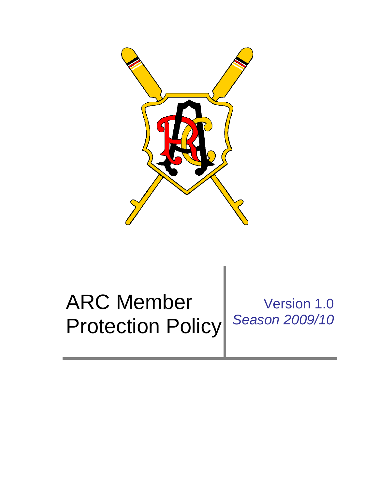

# ARC Member Protection Policy Version 1.0 *Season 2009/10*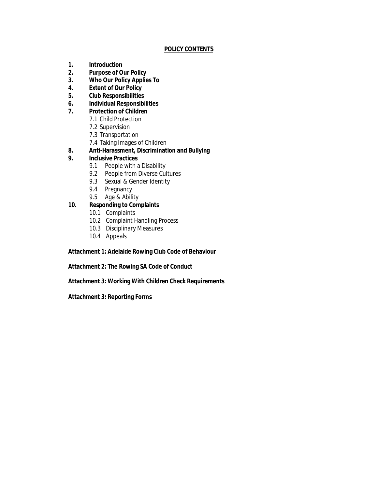# **POLICY CONTENTS**

- **1. Introduction**
- **2. Purpose of Our Policy**
- **3. Who Our Policy Applies To**
- **4. Extent of Our Policy**
- **5. Club Responsibilities**
- **6. Individual Responsibilities**
- **7. Protection of Children**
	- 7.1 Child Protection
		- 7.2 Supervision
		- 7.3 Transportation
	- 7.4 Taking Images of Children
- **8. Anti-Harassment, Discrimination and Bullying**
- **9. Inclusive Practices**
	- 9.1 People with a Disability
	- 9.2 People from Diverse Cultures
	- 9.3 Sexual & Gender Identity
	- 9.4 Pregnancy
	- 9.5 Age & Ability
- **10. Responding to Complaints**
	- 10.1 Complaints
	- 10.2 Complaint Handling Process
	- 10.3 Disciplinary Measures
	- 10.4 Appeals

**Attachment 1: Adelaide Rowing Club Code of Behaviour** 

**Attachment 2: The Rowing SA Code of Conduct**

**Attachment 3: Working With Children Check Requirements** 

**Attachment 3: Reporting Forms**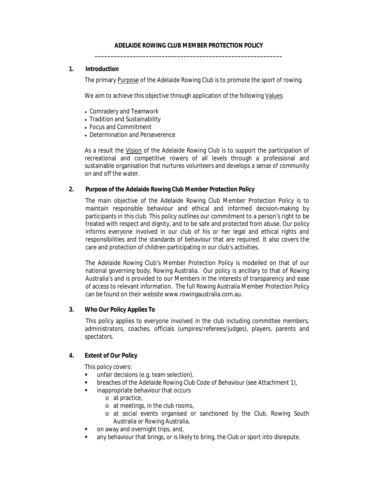**1. Introduction**

The primary Purpose of the Adelaide Rowing Club is to promote the sport of rowing.

We aim to achieve this objective through application of the following Values:

- Comradery and Teamwork
- Tradition and Sustainability
- Focus and Commitment
- Determination and Perseverence

As a result the Vision of the Adelaide Rowing Club is to support the participation of recreational and competitive rowers of all levels through a professional and sustainable organisation that nurtures volunteers and develops a sense of community on and off the water.

**2. Purpose of the Adelaide Rowing Club Member Protection Policy**

The main objective of the Adelaide Rowing Club Member Protection Policy is to maintain responsible behaviour and ethical and informed decision-making by participants in this club. This policy outlines our commitment to a person's right to be treated with respect and dignity, and to be safe and protected from abuse. Our policy informs everyone involved in our club of his or her legal and ethical rights and responsibilities and the standards of behaviour that are required. It also covers the care and protection of children participating in our club's activities.

The Adelaide Rowing Club's Member Protection Policy is modelled on that of our national governing body, Rowing Australia. Our policy is ancillary to that of Rowing Australia's and is provided to our Members in the interests of transparency and ease of access to relevant information. The full Rowing Australia Member Protection Policy can be found on their website www.rowingaustralia.com.au.

**3. Who Our Policy Applies To**

This policy applies to everyone involved in the club including committee members, administrators, coaches, officials (umpires/referees/judges), players, parents and spectators.

**4. Extent of Our Policy**

This policy covers:

- unfair decisions (e.g. team selection),
- **EXECTE:** breaches of the Adelaide Rowing Club Code of Behaviour (see Attachment 1),
- inappropriate behaviour that occurs
	- o at practice,
	- o at meetings, in the club rooms,
	- o at social events organised or sanctioned by the Club, Rowing South Australia or Rowing Australia,
- on away and overnight trips, and,
- any behaviour that brings, or is likely to bring, the Club or sport into disrepute.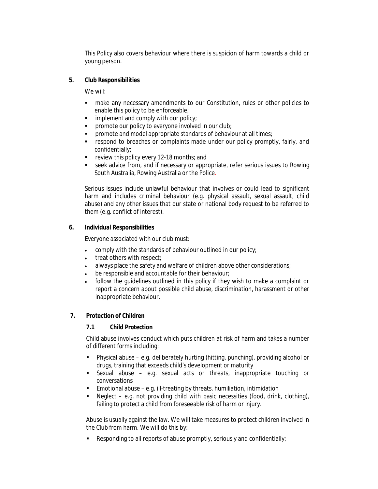This Policy also covers behaviour where there is suspicion of harm towards a child or young person.

**5. Club Responsibilities**

We will:

- make any necessary amendments to our Constitution, rules or other policies to enable this policy to be enforceable;
- $\blacksquare$  implement and comply with our policy;
- **•** promote our policy to everyone involved in our club;
- promote and model appropriate standards of behaviour at all times;
- respond to breaches or complaints made under our policy promptly, fairly, and confidentially;
- **F** review this policy every 12-18 months; and
- seek advice from, and if necessary or appropriate, refer serious issues to Rowing South Australia, Rowing Australia or the Police*.*

Serious issues include unlawful behaviour that involves or could lead to significant harm and includes criminal behaviour (e.g. physical assault, sexual assault, child abuse) and any other issues that our state or national body request to be referred to them (e.g. conflict of interest).

**6. Individual Responsibilities**

Everyone associated with our club must:

- comply with the standards of behaviour outlined in our policy;
- treat others with respect;
- always place the safety and welfare of children above other considerations;
- **be responsible and accountable for their behaviour;**
- follow the guidelines outlined in this policy if they wish to make a complaint or report a concern about possible child abuse, discrimination, harassment or other inappropriate behaviour.
- **7. Protection of Children**

**7.1 Child Protection** 

Child abuse involves conduct which puts children at risk of harm and takes a number of different forms including:

- Physical abuse e.g. deliberately hurting (hitting, punching), providing alcohol or drugs, training that exceeds child's development or maturity
- Sexual abuse e.g. sexual acts or threats, inappropriate touching or conversations
- **Emotional abuse e.g. ill-treating by threats, humiliation, intimidation**
- Neglect e.g. not providing child with basic necessities (food, drink, clothing), failing to protect a child from foreseeable risk of harm or injury.

Abuse is usually against the law. We will take measures to protect children involved in the Club from harm. We will do this by:

Responding to all reports of abuse promptly, seriously and confidentially;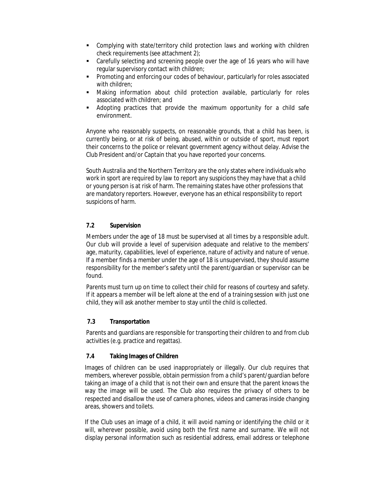- Complying with state/territory child protection laws and working with children check requirements (see attachment 2);
- Carefully selecting and screening people over the age of 16 years who will have regular supervisory contact with children;
- Promoting and enforcing our codes of behaviour, particularly for roles associated with children;
- Making information about child protection available, particularly for roles associated with children; and
- Adopting practices that provide the maximum opportunity for a child safe environment.

Anyone who reasonably suspects, on reasonable grounds, that a child has been, is currently being, or at risk of being, abused, within or outside of sport, must report their concerns to the police or relevant government agency without delay. Advise the Club President and/or Captain that you have reported your concerns.

South Australia and the Northern Territory are the only states where individuals who work in sport are required by law to report any suspicions they may have that a child or young person is at risk of harm. The remaining states have other professions that are mandatory reporters. However, everyone has an ethical responsibility to report suspicions of harm.

# **7.2 Supervision**

Members under the age of 18 must be supervised at all times by a responsible adult. Our club will provide a level of supervision adequate and relative to the members' age, maturity, capabilities, level of experience, nature of activity and nature of venue. If a member finds a member under the age of 18 is unsupervised, they should assume responsibility for the member's safety until the parent/guardian or supervisor can be found.

Parents must turn up on time to collect their child for reasons of courtesy and safety. If it appears a member will be left alone at the end of a training session with just one child, they will ask another member to stay until the child is collected.

#### **7.3 Transportation**

Parents and guardians are responsible for transporting their children to and from club activities (e.g. practice and regattas).

#### **7.4 Taking Images of Children**

Images of children can be used inappropriately or illegally. Our club requires that members, wherever possible, obtain permission from a child's parent/guardian before taking an image of a child that is not their own and ensure that the parent knows the way the image will be used. The Club also requires the privacy of others to be respected and disallow the use of camera phones, videos and cameras inside changing areas, showers and toilets.

If the Club uses an image of a child, it will avoid naming or identifying the child or it will, wherever possible, avoid using both the first name and surname. We will not display personal information such as residential address, email address or telephone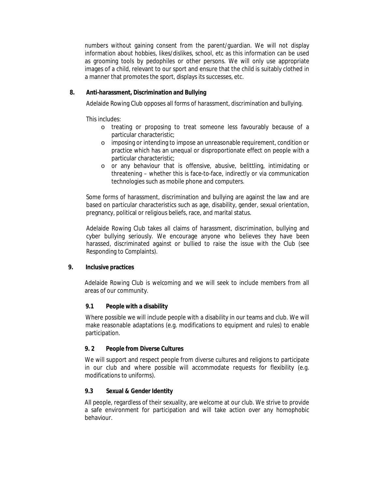numbers without gaining consent from the parent/guardian. We will not display information about hobbies, likes/dislikes, school, etc as this information can be used as grooming tools by pedophiles or other persons. We will only use appropriate images of a child, relevant to our sport and ensure that the child is suitably clothed in a manner that promotes the sport, displays its successes, etc.

**8. Anti-harassment, Discrimination and Bullying** 

Adelaide Rowing Club opposes all forms of harassment, discrimination and bullying.

This includes:

- o treating or proposing to treat someone less favourably because of a particular characteristic;
- o imposing or intending to impose an unreasonable requirement, condition or practice which has an unequal or disproportionate effect on people with a particular characteristic;
- o or any behaviour that is offensive, abusive, belittling, intimidating or threatening – whether this is face-to-face, indirectly or via communication technologies such as mobile phone and computers.

Some forms of harassment, discrimination and bullying are against the law and are based on particular characteristics such as age, disability, gender, sexual orientation, pregnancy, political or religious beliefs, race, and marital status.

Adelaide Rowing Club takes all claims of harassment, discrimination, bullying and cyber bullying seriously. We encourage anyone who believes they have been harassed, discriminated against or bullied to raise the issue with the Club (see Responding to Complaints).

**9. Inclusive practices**

Adelaide Rowing Club is welcoming and we will seek to include members from all areas of our community.

#### **9.1 People with a disability**

Where possible we will include people with a disability in our teams and club. We will make reasonable adaptations (e.g. modifications to equipment and rules) to enable participation.

#### **9. 2 People from Diverse Cultures**

We will support and respect people from diverse cultures and religions to participate in our club and where possible will accommodate requests for flexibility (e.g. modifications to uniforms).

#### **9.3 Sexual & Gender Identity**

All people, regardless of their sexuality, are welcome at our club. We strive to provide a safe environment for participation and will take action over any homophobic behaviour.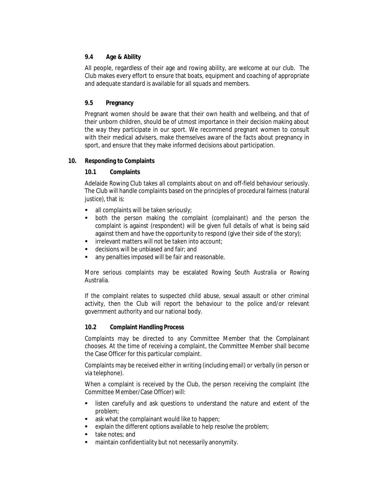#### **9.4 Age & Ability**

All people, regardless of their age and rowing ability, are welcome at our club. The Club makes every effort to ensure that boats, equipment and coaching of appropriate and adequate standard is available for all squads and members.

## **9.5 Pregnancy**

Pregnant women should be aware that their own health and wellbeing, and that of their unborn children, should be of utmost importance in their decision making about the way they participate in our sport. We recommend pregnant women to consult with their medical advisers, make themselves aware of the facts about pregnancy in sport, and ensure that they make informed decisions about participation.

#### **10. Responding to Complaints**

**10.1 Complaints**

Adelaide Rowing Club takes all complaints about on and off-field behaviour seriously. The Club will handle complaints based on the principles of procedural fairness (natural justice), that is:

- all complaints will be taken seriously;
- both the person making the complaint (complainant) and the person the complaint is against (respondent) will be given full details of what is being said against them and have the opportunity to respond (give their side of the story);
- $\blacksquare$  irrelevant matters will not be taken into account;
- decisions will be unbiased and fair; and
- **any penalties imposed will be fair and reasonable.**

More serious complaints may be escalated Rowing South Australia or Rowing Australia*.*

If the complaint relates to suspected child abuse, sexual assault or other criminal activity, then the Club will report the behaviour to the police and/or relevant government authority and our national body.

#### **10.2 Complaint Handling Process**

Complaints may be directed to any Committee Member that the Complainant chooses. At the time of receiving a complaint, the Committee Member shall become the Case Officer for this particular complaint.

Complaints may be received either in writing (including email) or verbally (in person or via telephone).

When a complaint is received by the Club, the person receiving the complaint (the Committee Member/Case Officer) will:

- **EXECT** listen carefully and ask questions to understand the nature and extent of the problem;
- ask what the complainant would like to happen;
- explain the different options available to help resolve the problem;
- **take notes; and**
- maintain confidentiality but not necessarily anonymity.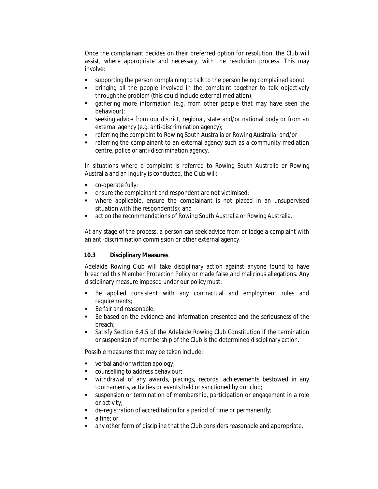Once the complainant decides on their preferred option for resolution, the Club will assist, where appropriate and necessary, with the resolution process. This may involve:

- supporting the person complaining to talk to the person being complained about
- bringing all the people involved in the complaint together to talk objectively through the problem (this could include external mediation);
- gathering more information (e.g. from other people that may have seen the behaviour);
- seeking advice from our district, regional, state and/or national body or from an external agency (e.g. anti-discrimination agency);
- referring the complaint to Rowing South Australia or Rowing Australia; and/or
- **•** referring the complainant to an external agency such as a community mediation centre, police or anti-discrimination agency.

In situations where a complaint is referred to Rowing South Australia or Rowing Australia and an inquiry is conducted, the Club will:

- co-operate fully;
- ensure the complainant and respondent are not victimised;
- where applicable, ensure the complainant is not placed in an unsupervised situation with the respondent(s); and
- **EXECT** act on the recommendations of Rowing South Australia or Rowing Australia.

At any stage of the process, a person can seek advice from or lodge a complaint with an anti-discrimination commission or other external agency.

#### **10.3 Disciplinary Measures**

Adelaide Rowing Club will take disciplinary action against anyone found to have breached this Member Protection Policy or made false and malicious allegations. Any disciplinary measure imposed under our policy must:

- Be applied consistent with any contractual and employment rules and requirements;
- Be fair and reasonable;
- Be based on the evidence and information presented and the seriousness of the breach;
- Satisfy Section 6.4.5 of the Adelaide Rowing Club Constitution if the termination or suspension of membership of the Club is the determined disciplinary action.

Possible measures that may be taken include:

- verbal and/or written apology;
- **Counselling to address behaviour:**
- withdrawal of any awards, placings, records, achievements bestowed in any tournaments, activities or events held or sanctioned by our club;
- suspension or termination of membership, participation or engagement in a role or activity;
- $\blacksquare$  de-registration of accreditation for a period of time or permanently;
- a fine; or
- any other form of discipline that the Club considers reasonable and appropriate.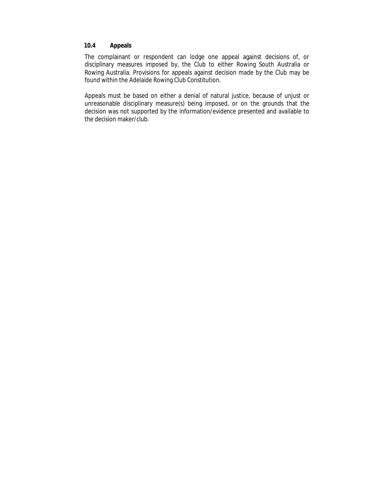## **10.4 Appeals**

The complainant or respondent can lodge one appeal against decisions of, or disciplinary measures imposed by, the Club to either Rowing South Australia or Rowing Australia. Provisions for appeals against decision made by the Club may be found within the Adelaide Rowing Club Constitution.

Appeals must be based on either a denial of natural justice, because of unjust or unreasonable disciplinary measure(s) being imposed, or on the grounds that the decision was not supported by the information/evidence presented and available to the decision maker/club.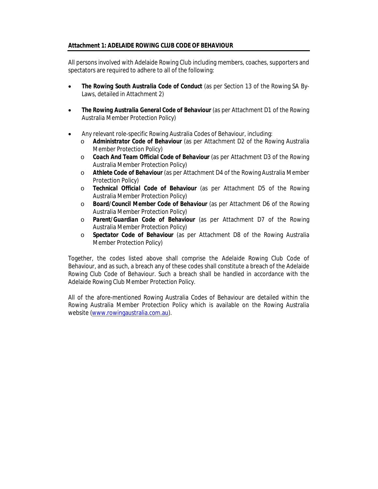#### **Attachment 1: ADELAIDE ROWING CLUB CODE OF BEHAVIOUR**

All persons involved with Adelaide Rowing Club including members, coaches, supporters and spectators are required to adhere to all of the following:

- *The Rowing South Australia Code of Conduct* (as per Section 13 of the Rowing SA By-Laws, detailed in Attachment 2)
- *The Rowing Australia General Code of Behaviour* (as per Attachment D1 of the Rowing Australia Member Protection Policy)
- Any relevant role-specific Rowing Australia Codes of Behaviour, including:
	- o *Administrator Code of Behaviour* (as per Attachment D2 of the Rowing Australia Member Protection Policy)
	- o *Coach And Team Official Code of Behaviour* (as per Attachment D3 of the Rowing Australia Member Protection Policy)
	- o *Athlete Code of Behaviour* (as per Attachment D4 of the Rowing Australia Member Protection Policy)
	- o *Technical Official Code of Behaviour* (as per Attachment D5 of the Rowing Australia Member Protection Policy)
	- o *Board/Council Member Code of Behaviour* (as per Attachment D6 of the Rowing Australia Member Protection Policy)
	- o *Parent/Guardian Code of Behaviour* (as per Attachment D7 of the Rowing Australia Member Protection Policy)
	- o *Spectator Code of Behaviour* (as per Attachment D8 of the Rowing Australia Member Protection Policy)

Together, the codes listed above shall comprise the Adelaide Rowing Club Code of Behaviour, and as such, a breach any of these codes shall constitute a breach of the Adelaide Rowing Club Code of Behaviour. Such a breach shall be handled in accordance with the Adelaide Rowing Club Member Protection Policy.

All of the afore-mentioned Rowing Australia Codes of Behaviour are detailed within the Rowing Australia Member Protection Policy which is available on the Rowing Australia website (www.rowingaustralia.com.au).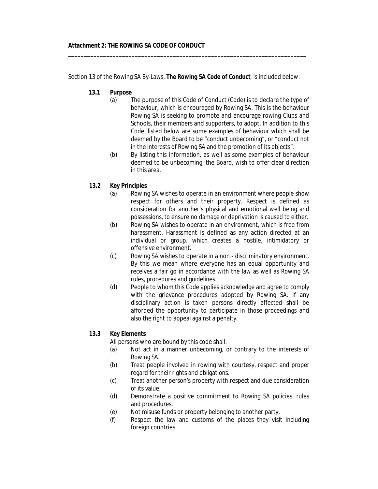Section 13 of the Rowing SA By-Laws, *The Rowing SA Code of Conduct,* is included below:

**\_\_\_\_\_\_\_\_\_\_\_\_\_\_\_\_\_\_\_\_\_\_\_\_\_\_\_\_\_\_\_\_\_\_\_\_\_\_\_\_\_\_\_\_\_\_\_\_\_\_\_\_\_\_\_\_\_\_\_\_\_\_\_\_\_\_\_\_\_\_\_\_\_\_\_**

- **13.1 Purpose** 
	- (a) The purpose of this Code of Conduct (Code) is to declare the type of behaviour, which is encouraged by Rowing SA. This is the behaviour Rowing SA is seeking to promote and encourage rowing Clubs and Schools, their members and supporters, to adopt. In addition to this Code, listed below are some examples of behaviour which shall be deemed by the Board to be "conduct unbecoming", or "conduct not in the interests of Rowing SA and the promotion of its objects".
	- (b) By listing this information, as well as some examples of behaviour deemed to be unbecoming, the Board, wish to offer clear direction in this area.
- **13.2 Key Principles** 
	- (a) Rowing SA wishes to operate in an environment where people show respect for others and their property. Respect is defined as consideration for another's physical and emotional well being and possessions, to ensure no damage or deprivation is caused to either.
	- (b) Rowing SA wishes to operate in an environment, which is free from harassment. Harassment is defined as any action directed at an individual or group, which creates a hostile, intimidatory or offensive environment.
	- (c) Rowing SA wishes to operate in a non discriminatory environment. By this we mean where everyone has an equal opportunity and receives a fair go in accordance with the law as well as Rowing SA rules, procedures and guidelines.
	- (d) People to whom this Code applies acknowledge and agree to comply with the grievance procedures adopted by Rowing SA. If any disciplinary action is taken persons directly affected shall be afforded the opportunity to participate in those proceedings and also the right to appeal against a penalty.
- **13.3 Key Elements**

All persons who are bound by this code shall:

- (a) Not act in a manner unbecoming, or contrary to the interests of Rowing SA.
- (b) Treat people involved in rowing with courtesy, respect and proper regard for their rights and obligations.
- (c) Treat another person's property with respect and due consideration of its value.
- (d) Demonstrate a positive commitment to Rowing SA policies, rules and procedures.
- (e) Not misuse funds or property belonging to another party.
- (f) Respect the law and customs of the places they visit including foreign countries.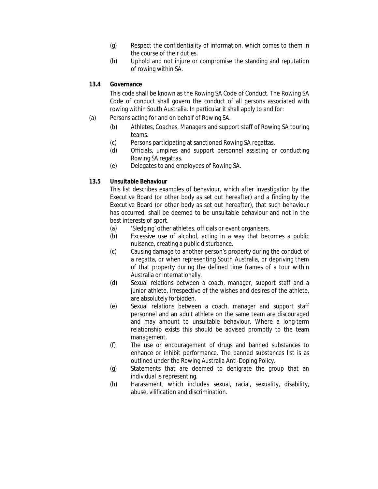- (g) Respect the confidentiality of information, which comes to them in the course of their duties.
- (h) Uphold and not injure or compromise the standing and reputation of rowing within SA.
- **13.4 Governance**

This code shall be known as the Rowing SA Code of Conduct. The Rowing SA Code of conduct shall govern the conduct of all persons associated with rowing within South Australia. In particular it shall apply to and for:

- (a) Persons acting for and on behalf of Rowing SA.
	- (b) Athletes, Coaches, Managers and support staff of Rowing SA touring teams.
	- (c) Persons participating at sanctioned Rowing SA regattas.
	- (d) Officials, umpires and support personnel assisting or conducting Rowing SA regattas.
	- (e) Delegates to and employees of Rowing SA.
- **13.5 Unsuitable Behaviour**

This list describes examples of behaviour, which after investigation by the Executive Board (or other body as set out hereafter) and a finding by the Executive Board (or other body as set out hereafter), that such behaviour has occurred, shall be deemed to be unsuitable behaviour and not in the best interests of sport.

- (a) 'Sledging' other athletes, officials or event organisers.
- (b) Excessive use of alcohol, acting in a way that becomes a public nuisance, creating a public disturbance.
- (c) Causing damage to another person's property during the conduct of a regatta, or when representing South Australia, or depriving them of that property during the defined time frames of a tour within Australia or Internationally.
- (d) Sexual relations between a coach, manager, support staff and a junior athlete, irrespective of the wishes and desires of the athlete, are absolutely forbidden.
- (e) Sexual relations between a coach, manager and support staff personnel and an adult athlete on the same team are discouraged and may amount to unsuitable behaviour. Where a long-term relationship exists this should be advised promptly to the team management.
- (f) The use or encouragement of drugs and banned substances to enhance or inhibit performance. The banned substances list is as outlined under the Rowing Australia Anti-Doping Policy.
- (g) Statements that are deemed to denigrate the group that an individual is representing.
- (h) Harassment, which includes sexual, racial, sexuality, disability, abuse, vilification and discrimination.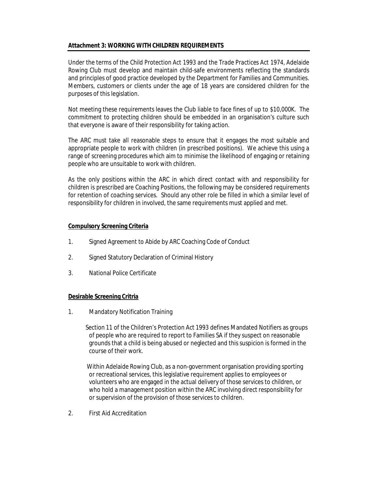# **Attachment 3: WORKING WITH CHILDREN REQUIREMENTS**

Under the terms of the *Child Protection Act 1993* and the *Trade Practices Act 1974*, Adelaide Rowing Club must develop and maintain child-safe environments reflecting the standards and principles of good practice developed by the Department for Families and Communities. Members, customers or clients under the age of 18 years are considered *children* for the purposes of this legislation.

Not meeting these requirements leaves the Club liable to face fines of up to \$10,000K. The commitment to protecting children should be embedded in an organisation's culture such that everyone is aware of their responsibility for taking action.

The ARC must take all reasonable steps to ensure that it engages the most suitable and appropriate people to work with children (in prescribed positions). We achieve this using a range of screening procedures which aim to minimise the likelihood of engaging or retaining people who are unsuitable to work with children.

As the only positions within the ARC in which direct contact with and responsibility for children is prescribed are Coaching Positions, the following may be considered requirements for retention of coaching services. Should any other role be filled in which a similar level of responsibility for children in involved, the same requirements must applied and met.

#### **Compulsory Screening Criteria**

- 1. Signed Agreement to Abide by ARC Coaching Code of Conduct
- 2. Signed Statutory Declaration of Criminal History
- 3. National Police Certificate

#### **Desirable Screening Critria**

1. Mandatory Notification Training

 Section 11 of the *Children's Protection Act 1993* defines Mandated Notifiers as groups of people who are required to report to Families SA if they suspect on reasonable grounds that a child is being abused or neglected and this suspicion is formed in the course of their work.

 Within Adelaide Rowing Club, as a non-government organisation providing sporting or recreational services, this legislative requirement applies to employees or volunteers who are engaged in the actual delivery of those services to children, or who hold a management position within the ARC involving direct responsibility for or supervision of the provision of those services to children.

2. First Aid Accreditation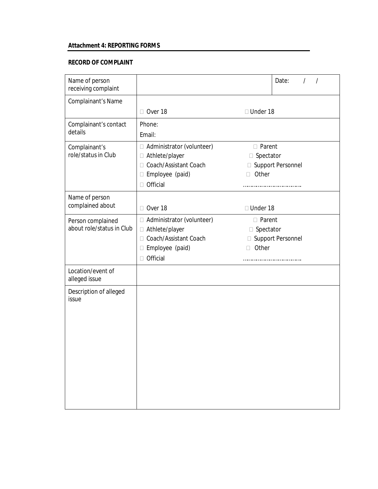# **Attachment 4: REPORTING FORMS**

# **RECORD OF COMPLAINT**